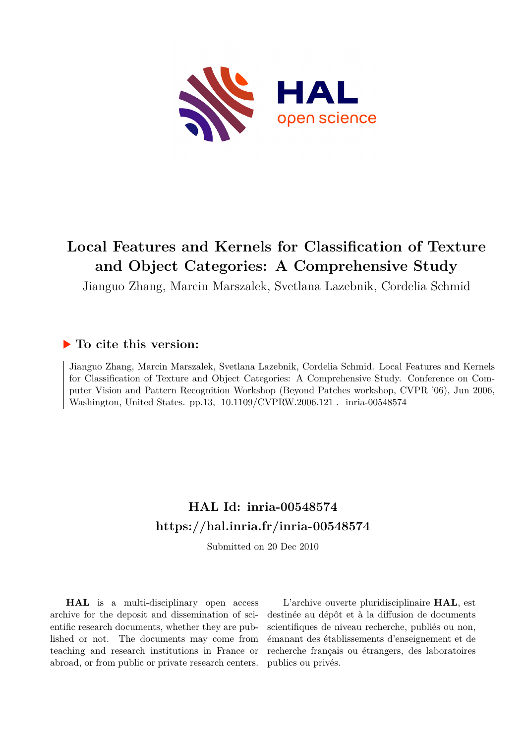

# **Local Features and Kernels for Classification of Texture and Object Categories: A Comprehensive Study**

Jianguo Zhang, Marcin Marszalek, Svetlana Lazebnik, Cordelia Schmid

# **To cite this version:**

Jianguo Zhang, Marcin Marszalek, Svetlana Lazebnik, Cordelia Schmid. Local Features and Kernels for Classification of Texture and Object Categories: A Comprehensive Study. Conference on Computer Vision and Pattern Recognition Workshop (Beyond Patches workshop, CVPR '06), Jun 2006, Washington, United States. pp.13, 10.1109/CVPRW.2006.121 . inria-00548574

# **HAL Id: inria-00548574 <https://hal.inria.fr/inria-00548574>**

Submitted on 20 Dec 2010

**HAL** is a multi-disciplinary open access archive for the deposit and dissemination of scientific research documents, whether they are published or not. The documents may come from teaching and research institutions in France or abroad, or from public or private research centers.

L'archive ouverte pluridisciplinaire **HAL**, est destinée au dépôt et à la diffusion de documents scientifiques de niveau recherche, publiés ou non, émanant des établissements d'enseignement et de recherche français ou étrangers, des laboratoires publics ou privés.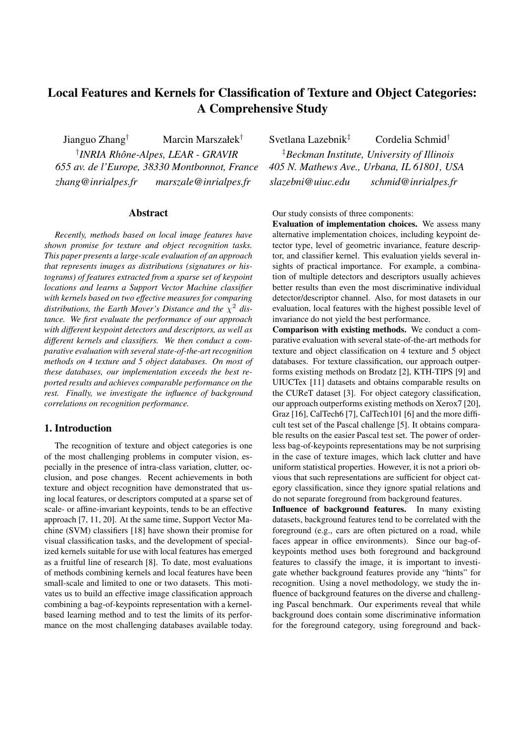# **Local Features and Kernels for Classification of Texture and Object Categories: A Comprehensive Study**

Jianguo Zhang<sup>†</sup> Marcin Marszałek<sup>†</sup> Svetlana Lazebnik<sup>‡</sup> Cordelia Schmid<sup>†</sup> <sup>†</sup> INRIA Rhône-Alpes, LEAR - GRAVIR *655 av. de l'Europe, 38330 Montbonnot, France 405 N. Mathews Ave., Urbana, IL 61801, USA zhang@inrialpes.fr marszale@inrialpes.fr slazebni@uiuc.edu schmid@inrialpes.fr*

## **Abstract**

*Recently, methods based on local image features have shown promise for texture and object recognition tasks. This paper presents a large-scale evaluation of an approach that represents images as distributions (signatures or histograms) of features extracted from a sparse set of keypoint locations and learns a Support Vector Machine classifier with kernels based on two effective measures for comparing distributions, the Earth Mover's Distance and the* χ <sup>2</sup> *distance. We first evaluate the performance of our approach with different keypoint detectors and descriptors, as well as different kernels and classifiers. We then conduct a comparative evaluation with several state-of-the-art recognition methods on 4 texture and 5 object databases. On most of these databases, our implementation exceeds the best reported results and achieves comparable performance on the rest. Finally, we investigate the influence of background correlations on recognition performance.*

## **1. Introduction**

The recognition of texture and object categories is one of the most challenging problems in computer vision, especially in the presence of intra-class variation, clutter, occlusion, and pose changes. Recent achievements in both texture and object recognition have demonstrated that using local features, or descriptors computed at a sparse set of scale- or affine-invariant keypoints, tends to be an effective approach [7, 11, 20]. At the same time, Support Vector Machine (SVM) classifiers [18] have shown their promise for visual classification tasks, and the development of specialized kernels suitable for use with local features has emerged as a fruitful line of research [8]. To date, most evaluations of methods combining kernels and local features have been small-scale and limited to one or two datasets. This motivates us to build an effective image classification approach combining a bag-of-keypoints representation with a kernelbased learning method and to test the limits of its performance on the most challenging databases available today.

*INRIA Rhone-Alpes, ˆ LEAR - GRAVIR* ‡*Beckman Institute, University of Illinois*

Our study consists of three components:

**Evaluation of implementation choices.** We assess many alternative implementation choices, including keypoint detector type, level of geometric invariance, feature descriptor, and classifier kernel. This evaluation yields several insights of practical importance. For example, a combination of multiple detectors and descriptors usually achieves better results than even the most discriminative individual detector/descriptor channel. Also, for most datasets in our evaluation, local features with the highest possible level of invariance do not yield the best performance.

**Comparison with existing methods.** We conduct a comparative evaluation with several state-of-the-art methods for texture and object classification on 4 texture and 5 object databases. For texture classification, our approach outperforms existing methods on Brodatz [2], KTH-TIPS [9] and UIUCTex [11] datasets and obtains comparable results on the CUReT dataset [3]. For object category classification, our approach outperforms existing methods on Xerox7 [20], Graz [16], CalTech6 [7], CalTech101 [6] and the more difficult test set of the Pascal challenge [5]. It obtains comparable results on the easier Pascal test set. The power of orderless bag-of-keypoints representations may be not surprising in the case of texture images, which lack clutter and have uniform statistical properties. However, it is not a priori obvious that such representations are sufficient for object category classification, since they ignore spatial relations and do not separate foreground from background features.

**Influence of background features.** In many existing datasets, background features tend to be correlated with the foreground (e.g., cars are often pictured on a road, while faces appear in office environments). Since our bag-ofkeypoints method uses both foreground and background features to classify the image, it is important to investigate whether background features provide any "hints" for recognition. Using a novel methodology, we study the influence of background features on the diverse and challenging Pascal benchmark. Our experiments reveal that while background does contain some discriminative information for the foreground category, using foreground and back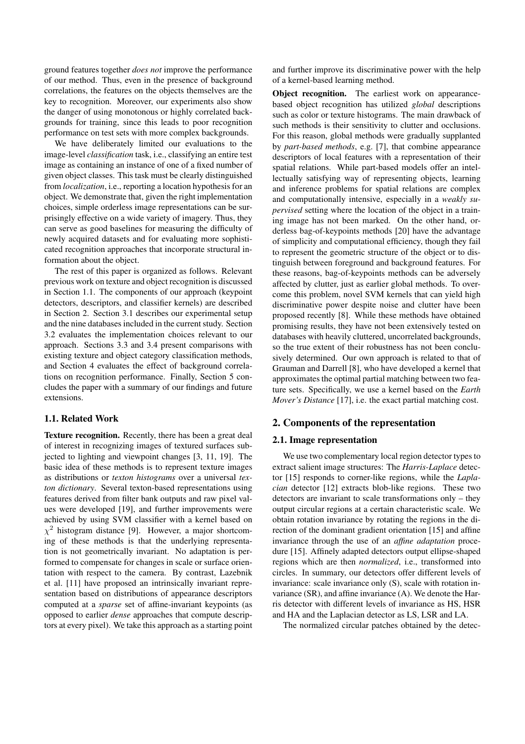ground features together *does not* improve the performance of our method. Thus, even in the presence of background correlations, the features on the objects themselves are the key to recognition. Moreover, our experiments also show the danger of using monotonous or highly correlated backgrounds for training, since this leads to poor recognition performance on test sets with more complex backgrounds.

We have deliberately limited our evaluations to the image-level *classification* task, i.e., classifying an entire test image as containing an instance of one of a fixed number of given object classes. This task must be clearly distinguished from *localization*, i.e., reporting a location hypothesis for an object. We demonstrate that, given the right implementation choices, simple orderless image representations can be surprisingly effective on a wide variety of imagery. Thus, they can serve as good baselines for measuring the difficulty of newly acquired datasets and for evaluating more sophisticated recognition approaches that incorporate structural information about the object.

The rest of this paper is organized as follows. Relevant previous work on texture and object recognition is discussed in Section 1.1. The components of our approach (keypoint detectors, descriptors, and classifier kernels) are described in Section 2. Section 3.1 describes our experimental setup and the nine databases included in the current study. Section 3.2 evaluates the implementation choices relevant to our approach. Sections 3.3 and 3.4 present comparisons with existing texture and object category classification methods, and Section 4 evaluates the effect of background correlations on recognition performance. Finally, Section 5 concludes the paper with a summary of our findings and future extensions.

#### **1.1. Related Work**

**Texture recognition.** Recently, there has been a great deal of interest in recognizing images of textured surfaces subjected to lighting and viewpoint changes [3, 11, 19]. The basic idea of these methods is to represent texture images as distributions or *texton histograms* over a universal *texton dictionary*. Several texton-based representations using features derived from filter bank outputs and raw pixel values were developed [19], and further improvements were achieved by using SVM classifier with a kernel based on  $\chi^2$  histogram distance [9]. However, a major shortcoming of these methods is that the underlying representation is not geometrically invariant. No adaptation is performed to compensate for changes in scale or surface orientation with respect to the camera. By contrast, Lazebnik et al. [11] have proposed an intrinsically invariant representation based on distributions of appearance descriptors computed at a *sparse* set of affine-invariant keypoints (as opposed to earlier *dense* approaches that compute descriptors at every pixel). We take this approach as a starting point and further improve its discriminative power with the help of a kernel-based learning method.

**Object recognition.** The earliest work on appearancebased object recognition has utilized *global* descriptions such as color or texture histograms. The main drawback of such methods is their sensitivity to clutter and occlusions. For this reason, global methods were gradually supplanted by *part-based methods*, e.g. [7], that combine appearance descriptors of local features with a representation of their spatial relations. While part-based models offer an intellectually satisfying way of representing objects, learning and inference problems for spatial relations are complex and computationally intensive, especially in a *weakly supervised* setting where the location of the object in a training image has not been marked. On the other hand, orderless bag-of-keypoints methods [20] have the advantage of simplicity and computational efficiency, though they fail to represent the geometric structure of the object or to distinguish between foreground and background features. For these reasons, bag-of-keypoints methods can be adversely affected by clutter, just as earlier global methods. To overcome this problem, novel SVM kernels that can yield high discriminative power despite noise and clutter have been proposed recently [8]. While these methods have obtained promising results, they have not been extensively tested on databases with heavily cluttered, uncorrelated backgrounds, so the true extent of their robustness has not been conclusively determined. Our own approach is related to that of Grauman and Darrell [8], who have developed a kernel that approximates the optimal partial matching between two feature sets. Specifically, we use a kernel based on the *Earth Mover's Distance* [17], i.e. the exact partial matching cost.

# **2. Components of the representation**

#### **2.1. Image representation**

We use two complementary local region detector types to extract salient image structures: The *Harris-Laplace* detector [15] responds to corner-like regions, while the *Laplacian* detector [12] extracts blob-like regions. These two detectors are invariant to scale transformations only – they output circular regions at a certain characteristic scale. We obtain rotation invariance by rotating the regions in the direction of the dominant gradient orientation [15] and affine invariance through the use of an *affine adaptation* procedure [15]. Affinely adapted detectors output ellipse-shaped regions which are then *normalized*, i.e., transformed into circles. In summary, our detectors offer different levels of invariance: scale invariance only (S), scale with rotation invariance (SR), and affine invariance (A). We denote the Harris detector with different levels of invariance as HS, HSR and HA and the Laplacian detector as LS, LSR and LA.

The normalized circular patches obtained by the detec-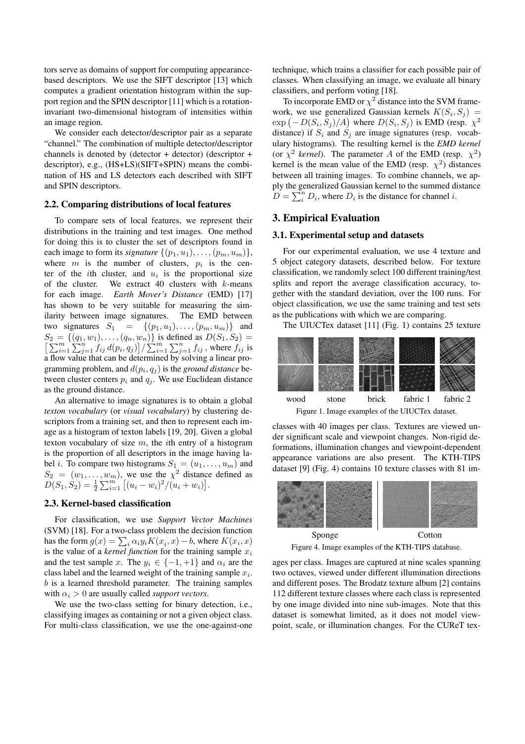tors serve as domains of support for computing appearancebased descriptors. We use the SIFT descriptor [13] which computes a gradient orientation histogram within the support region and the SPIN descriptor [11] which is a rotationinvariant two-dimensional histogram of intensities within an image region.

We consider each detector/descriptor pair as a separate "channel." The combination of multiple detector/descriptor channels is denoted by (detector + detector) (descriptor + descriptor), e.g., (HS+LS)(SIFT+SPIN) means the combination of HS and LS detectors each described with SIFT and SPIN descriptors.

#### **2.2. Comparing distributions of local features**

To compare sets of local features, we represent their distributions in the training and test images. One method for doing this is to cluster the set of descriptors found in each image to form its *signature*  $\{(p_1, u_1), \ldots, (p_m, u_m)\},\$ where  $m$  is the number of clusters,  $p_i$  is the center of the *i*th cluster, and  $u_i$  is the proportional size of the cluster. We extract 40 clusters with  $k$ -means for each image. *Earth Mover's Distance* (EMD) [17] has shown to be very suitable for measuring the similarity between image signatures. The EMD between two signatures  $S_1 = \{(p_1, u_1), \ldots, (p_m, u_m)\}\$ and  $S_2 = \{(q_1, w_1), \ldots, (q_n, w_n)\}$  is defined as  $D(S_1, S_2) = \left[\sum_{i=1}^m \sum_{j=1}^n f_{ij} d(p_i, q_j)\right] / \sum_{i=1}^m \sum_{j=1}^n f_{ij}$ , where  $f_{ij}$  is a flow value that can be determined by solving a linear programming problem, and  $d(p_i, q_j)$  is the *ground distance* between cluster centers  $p_i$  and  $q_j$ . We use Euclidean distance as the ground distance.

An alternative to image signatures is to obtain a global *texton vocabulary* (or *visual vocabulary*) by clustering descriptors from a training set, and then to represent each image as a histogram of texton labels [19, 20]. Given a global texton vocabulary of size  $m$ , the *i*th entry of a histogram is the proportion of all descriptors in the image having label *i*. To compare two histograms  $S_1 = (u_1, \ldots, u_m)$  and  $S_2 = (w_1, \ldots, w_m)$ , we use the  $\chi^2$  distance defined as  $D(S_1, S_2) = \frac{1}{2} \sum_{i=1}^{m} [(u_i - w_i)^2/(u_i + w_i)].$ 

# **2.3. Kernel-based classification**

For classification, we use *Support Vector Machines* (SVM) [18]. For a two-class problem the decision function has the form  $g(x) = \sum_i \alpha_i y_i K(x_i, x) - b$ , where  $K(x_i, x)$ is the value of a *kernel function* for the training sample  $x_i$ and the test sample x. The  $y_i \in \{-1, +1\}$  and  $\alpha_i$  are the class label and the learned weight of the training sample  $x_i$ .  $b$  is a learned threshold parameter. The training samples with  $\alpha_i > 0$  are usually called *support vectors*.

We use the two-class setting for binary detection, i.e., classifying images as containing or not a given object class. For multi-class classification, we use the one-against-one technique, which trains a classifier for each possible pair of classes. When classifying an image, we evaluate all binary classifiers, and perform voting [18].

To incorporate EMD or  $\chi^2$  distance into the SVM framework, we use generalized Gaussian kernels  $K(S_i, S_j) =$  $\exp(-D(S_i, S_j)/A)$  where  $D(S_i, S_j)$  is EMD (resp.  $\chi^2$ distance) if  $S_i$  and  $S_j$  are image signatures (resp. vocabulary histograms). The resulting kernel is the *EMD kernel* (or  $\chi^2$  *kernel*). The parameter A of the EMD (resp.  $\chi^2$ ) kernel is the mean value of the EMD (resp.  $\chi^2$ ) distances between all training images. To combine channels, we apply the generalized Gaussian kernel to the summed distance  $\overline{D} = \sum_{i=1}^{n} D_i$ , where  $D_i$  is the distance for channel i.

# **3. Empirical Evaluation**

#### **3.1. Experimental setup and datasets**

For our experimental evaluation, we use 4 texture and 5 object category datasets, described below. For texture classification, we randomly select 100 different training/test splits and report the average classification accuracy, together with the standard deviation, over the 100 runs. For object classification, we use the same training and test sets as the publications with which we are comparing.

The UIUCTex dataset [11] (Fig. 1) contains 25 texture



classes with 40 images per class. Textures are viewed under significant scale and viewpoint changes. Non-rigid deformations, illumination changes and viewpoint-dependent appearance variations are also present. The KTH-TIPS dataset [9] (Fig. 4) contains 10 texture classes with 81 im-



Figure 4. Image examples of the KTH-TIPS database.

ages per class. Images are captured at nine scales spanning two octaves, viewed under different illumination directions and different poses. The Brodatz texture album [2] contains 112 different texture classes where each class is represented by one image divided into nine sub-images. Note that this dataset is somewhat limited, as it does not model viewpoint, scale, or illumination changes. For the CUReT tex-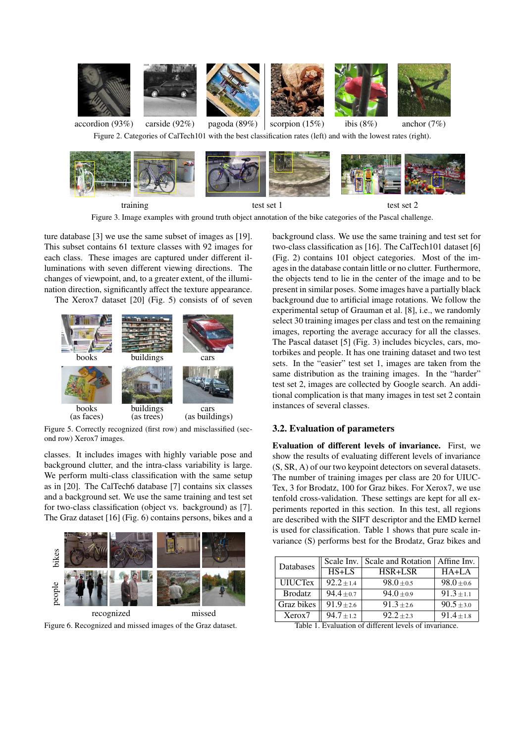



training test set 1 test set 2

Figure 3. Image examples with ground truth object annotation of the bike categories of the Pascal challenge.

ture database [3] we use the same subset of images as [19]. This subset contains 61 texture classes with 92 images for each class. These images are captured under different illuminations with seven different viewing directions. The changes of viewpoint, and, to a greater extent, of the illumination direction, significantly affect the texture appearance.

The Xerox7 dataset [20] (Fig. 5) consists of of seven



Figure 5. Correctly recognized (first row) and misclassified (second row) Xerox7 images.

classes. It includes images with highly variable pose and background clutter, and the intra-class variability is large. We perform multi-class classification with the same setup as in [20]. The CalTech6 database [7] contains six classes and a background set. We use the same training and test set for two-class classification (object vs. background) as [7]. The Graz dataset [16] (Fig. 6) contains persons, bikes and a



Figure 6. Recognized and missed images of the Graz dataset.

background class. We use the same training and test set for two-class classification as [16]. The CalTech101 dataset [6] (Fig. 2) contains 101 object categories. Most of the images in the database contain little or no clutter. Furthermore, the objects tend to lie in the center of the image and to be present in similar poses. Some images have a partially black background due to artificial image rotations. We follow the experimental setup of Grauman et al. [8], i.e., we randomly select 30 training images per class and test on the remaining images, reporting the average accuracy for all the classes. The Pascal dataset [5] (Fig. 3) includes bicycles, cars, motorbikes and people. It has one training dataset and two test sets. In the "easier" test set 1, images are taken from the same distribution as the training images. In the "harder" test set 2, images are collected by Google search. An additional complication is that many images in test set 2 contain instances of several classes.

### **3.2. Evaluation of parameters**

**Evaluation of different levels of invariance.** First, we show the results of evaluating different levels of invariance (S, SR, A) of our two keypoint detectors on several datasets. The number of training images per class are 20 for UIUC-Tex, 3 for Brodatz, 100 for Graz bikes. For Xerox7, we use tenfold cross-validation. These settings are kept for all experiments reported in this section. In this test, all regions are described with the SIFT descriptor and the EMD kernel is used for classification. Table 1 shows that pure scale invariance (S) performs best for the Brodatz, Graz bikes and

| Databases      | Scale Inv.     | Scale and Rotation   Affine Inv. |                |  |
|----------------|----------------|----------------------------------|----------------|--|
|                | $HS+LS$        | HSR+LSR                          | $HA+LA$        |  |
| <b>UIUCTex</b> | $92.2 \pm 1.4$ | $98.0 \pm 0.5$                   | $98.0 \pm 0.6$ |  |
| <b>Brodatz</b> | $94.4 \pm 0.7$ | $94.0 + 0.9$                     | $91.3 \pm 1.1$ |  |
| Graz bikes     | $91.9 \pm 2.6$ | $91.3 + 2.6$                     | $90.5 \pm 3.0$ |  |
| Xerox7         | $94.7 \pm 1.2$ | $92.2 + 2.3$                     | $91.4 \pm 1.8$ |  |

Table 1. Evaluation of different levels of invariance.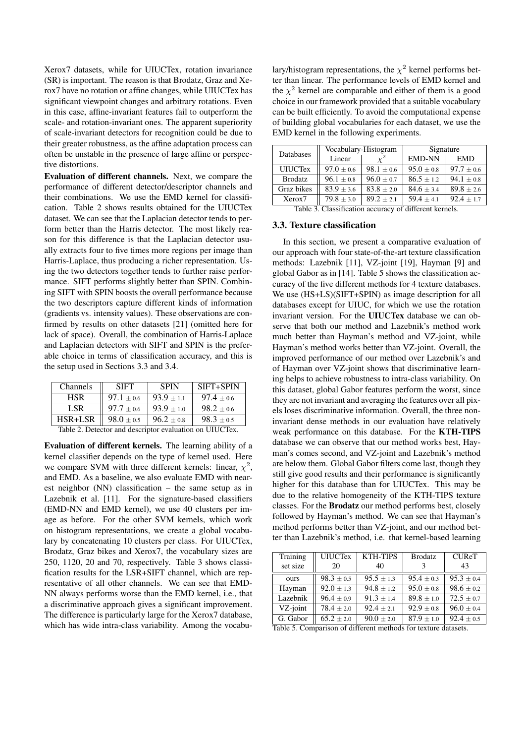Xerox7 datasets, while for UIUCTex, rotation invariance (SR) is important. The reason is that Brodatz, Graz and Xerox7 have no rotation or affine changes, while UIUCTex has significant viewpoint changes and arbitrary rotations. Even in this case, affine-invariant features fail to outperform the scale- and rotation-invariant ones. The apparent superiority of scale-invariant detectors for recognition could be due to their greater robustness, as the affine adaptation process can often be unstable in the presence of large affine or perspective distortions.

**Evaluation of different channels.** Next, we compare the performance of different detector/descriptor channels and their combinations. We use the EMD kernel for classification. Table 2 shows results obtained for the UIUCTex dataset. We can see that the Laplacian detector tends to perform better than the Harris detector. The most likely reason for this difference is that the Laplacian detector usually extracts four to five times more regions per image than Harris-Laplace, thus producing a richer representation. Using the two detectors together tends to further raise performance. SIFT performs slightly better than SPIN. Combining SIFT with SPIN boosts the overall performance because the two descriptors capture different kinds of information (gradients vs. intensity values). These observations are confirmed by results on other datasets [21] (omitted here for lack of space). Overall, the combination of Harris-Laplace and Laplacian detectors with SIFT and SPIN is the preferable choice in terms of classification accuracy, and this is the setup used in Sections 3.3 and 3.4.

| Channels | <b>SIFT</b>    | <b>SPIN</b>  | SIFT+SPIN    |
|----------|----------------|--------------|--------------|
| HSR      | $97.1 \pm 0.6$ | $93.9 + 1.1$ | $97.4 + 0.6$ |
| LSR      | $97.7 + 0.6$   | $93.9 + 1.0$ | $98.2 + 0.6$ |
| HSR+LSR  | $98.0 \pm 0.5$ | $96.2 + 0.8$ | $98.3 + 0.5$ |

Table 2. Detector and descriptor evaluation on UIUCTex.

**Evaluation of different kernels.** The learning ability of a kernel classifier depends on the type of kernel used. Here we compare SVM with three different kernels: linear,  $\chi^2$ , and EMD. As a baseline, we also evaluate EMD with nearest neighbor (NN) classification – the same setup as in Lazebnik et al. [11]. For the signature-based classifiers (EMD-NN and EMD kernel), we use 40 clusters per image as before. For the other SVM kernels, which work on histogram representations, we create a global vocabulary by concatenating 10 clusters per class. For UIUCTex, Brodatz, Graz bikes and Xerox7, the vocabulary sizes are 250, 1120, 20 and 70, respectively. Table 3 shows classification results for the LSR+SIFT channel, which are representative of all other channels. We can see that EMD-NN always performs worse than the EMD kernel, i.e., that a discriminative approach gives a significant improvement. The difference is particularly large for the Xerox7 database, which has wide intra-class variability. Among the vocabu-

lary/histogram representations, the  $\chi^2$  kernel performs better than linear. The performance levels of EMD kernel and the  $\chi^2$  kernel are comparable and either of them is a good choice in our framework provided that a suitable vocabulary can be built efficiently. To avoid the computational expense of building global vocabularies for each dataset, we use the EMD kernel in the following experiments.

| Databases      |                | Vocabulary-Histogram | Signature      |              |  |
|----------------|----------------|----------------------|----------------|--------------|--|
|                | Linear         |                      | <b>EMD-NN</b>  | <b>EMD</b>   |  |
| <b>UIUCTex</b> | $97.0 \pm 0.6$ | $98.1 \pm 0.6$       | $95.0 \pm 0.8$ | $97.7 + 0.6$ |  |
| <b>Brodatz</b> | $96.1 \pm 0.8$ | $96.0 + 0.7$         | $86.5 \pm 1.2$ | $94.1 + 0.8$ |  |
| Graz bikes     | $83.9 \pm 3.6$ | $83.8 \pm 2.0$       | $84.6 \pm 3.4$ | $89.8 + 2.6$ |  |
| Xerox7         | $79.8 \pm 3.0$ | $89.2 + 2.1$         | $59.4 + 4.1$   | $92.4 + 1.7$ |  |

Table 3. Classification accuracy of different kernels.

#### **3.3. Texture classification**

In this section, we present a comparative evaluation of our approach with four state-of-the-art texture classification methods: Lazebnik [11], VZ-joint [19], Hayman [9] and global Gabor as in [14]. Table 5 shows the classification accuracy of the five different methods for 4 texture databases. We use (HS+LS)(SIFT+SPIN) as image description for all databases except for UIUC, for which we use the rotation invariant version. For the **UIUCTex** database we can observe that both our method and Lazebnik's method work much better than Hayman's method and VZ-joint, while Hayman's method works better than VZ-joint. Overall, the improved performance of our method over Lazebnik's and of Hayman over VZ-joint shows that discriminative learning helps to achieve robustness to intra-class variability. On this dataset, global Gabor features perform the worst, since they are not invariant and averaging the features over all pixels loses discriminative information. Overall, the three noninvariant dense methods in our evaluation have relatively weak performance on this database. For the **KTH-TIPS** database we can observe that our method works best, Hayman's comes second, and VZ-joint and Lazebnik's method are below them. Global Gabor filters come last, though they still give good results and their performance is significantly higher for this database than for UIUCTex. This may be due to the relative homogeneity of the KTH-TIPS texture classes. For the **Brodatz** our method performs best, closely followed by Hayman's method. We can see that Hayman's method performs better than VZ-joint, and our method better than Lazebnik's method, i.e. that kernel-based learning

| Training            | <b>UIUCTex</b> | <b>KTH-TIPS</b> | <b>Brodatz</b> | <b>CUReT</b>   |
|---------------------|----------------|-----------------|----------------|----------------|
| set size            | 20             | 40              |                | 43             |
| ours                | $98.3 \pm 0.5$ | $95.5 + 1.3$    | $95.4 + 0.3$   | $95.3 + 0.4$   |
| Hayman              | $92.0 + 1.3$   | $94.8 + 1.2$    | $95.0 \pm 0.8$ | $98.6 \pm 0.2$ |
| Lazebnik            | $96.4 \pm 0.9$ | $91.3 \pm 1.4$  | $89.8 + 1.0$   | $72.5 \pm 0.7$ |
| VZ-joint            | $78.4 \pm 2.0$ | $92.4 \pm 2.1$  | $92.9 \pm 0.8$ | $96.0 \pm 0.4$ |
| G. Gabor            | $65.2 \pm 2.0$ | $90.0 \pm 2.0$  | $87.9 \pm 1.0$ | $92.4 \pm 0.5$ |
| $\sim \cdot$ $\sim$ | 0.1100         |                 |                | $\blacksquare$ |

Table 5. Comparison of different methods for texture datasets.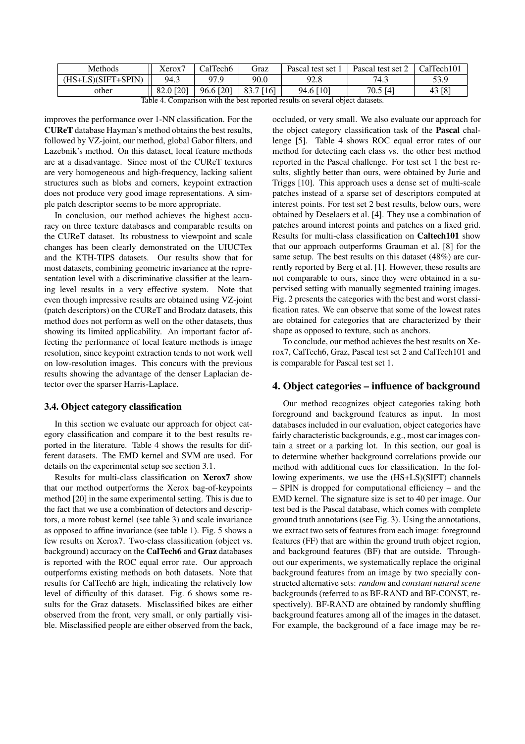| Methods              | Xerox7    | CalTech <sub>6</sub> | Graz        | Pascal test set 1 | Pascal test set 2 | CalTech101 |
|----------------------|-----------|----------------------|-------------|-------------------|-------------------|------------|
| $(HS+LS)(SIFT+SPIN)$ | 94.3      | 97.9                 | 90.0        | 92.8              | 74.3              | 53.9       |
| other                | 82.0 [20] | $96.6$ [20]          | $83.7$ [16] | 94.6 [10]         | 70.5 [4]          | 43 [8]     |

Table 4. Comparison with the best reported results on several object datasets.

improves the performance over 1-NN classification. For the **CUReT** database Hayman's method obtains the best results, followed by VZ-joint, our method, global Gabor filters, and Lazebnik's method. On this dataset, local feature methods are at a disadvantage. Since most of the CUReT textures are very homogeneous and high-frequency, lacking salient structures such as blobs and corners, keypoint extraction does not produce very good image representations. A simple patch descriptor seems to be more appropriate.

In conclusion, our method achieves the highest accuracy on three texture databases and comparable results on the CUReT dataset. Its robustness to viewpoint and scale changes has been clearly demonstrated on the UIUCTex and the KTH-TIPS datasets. Our results show that for most datasets, combining geometric invariance at the representation level with a discriminative classifier at the learning level results in a very effective system. Note that even though impressive results are obtained using VZ-joint (patch descriptors) on the CUReT and Brodatz datasets, this method does not perform as well on the other datasets, thus showing its limited applicability. An important factor affecting the performance of local feature methods is image resolution, since keypoint extraction tends to not work well on low-resolution images. This concurs with the previous results showing the advantage of the denser Laplacian detector over the sparser Harris-Laplace.

### **3.4. Object category classification**

In this section we evaluate our approach for object category classification and compare it to the best results reported in the literature. Table 4 shows the results for different datasets. The EMD kernel and SVM are used. For details on the experimental setup see section 3.1.

Results for multi-class classification on **Xerox7** show that our method outperforms the Xerox bag-of-keypoints method [20] in the same experimental setting. This is due to the fact that we use a combination of detectors and descriptors, a more robust kernel (see table 3) and scale invariance as opposed to affine invariance (see table 1). Fig. 5 shows a few results on Xerox7. Two-class classification (object vs. background) accuracy on the **CalTech6** and **Graz** databases is reported with the ROC equal error rate. Our approach outperforms existing methods on both datasets. Note that results for CalTech6 are high, indicating the relatively low level of difficulty of this dataset. Fig. 6 shows some results for the Graz datasets. Misclassified bikes are either observed from the front, very small, or only partially visible. Misclassified people are either observed from the back,

occluded, or very small. We also evaluate our approach for the object category classification task of the **Pascal** challenge [5]. Table 4 shows ROC equal error rates of our method for detecting each class vs. the other best method reported in the Pascal challenge. For test set 1 the best results, slightly better than ours, were obtained by Jurie and Triggs [10]. This approach uses a dense set of multi-scale patches instead of a sparse set of descriptors computed at interest points. For test set 2 best results, below ours, were obtained by Deselaers et al. [4]. They use a combination of patches around interest points and patches on a fixed grid. Results for multi-class classification on **Caltech101** show that our approach outperforms Grauman et al. [8] for the same setup. The best results on this dataset (48%) are currently reported by Berg et al. [1]. However, these results are not comparable to ours, since they were obtained in a supervised setting with manually segmented training images. Fig. 2 presents the categories with the best and worst classification rates. We can observe that some of the lowest rates are obtained for categories that are characterized by their shape as opposed to texture, such as anchors.

To conclude, our method achieves the best results on Xerox7, CalTech6, Graz, Pascal test set 2 and CalTech101 and is comparable for Pascal test set 1.

#### **4. Object categories – influence of background**

Our method recognizes object categories taking both foreground and background features as input. In most databases included in our evaluation, object categories have fairly characteristic backgrounds, e.g., most car images contain a street or a parking lot. In this section, our goal is to determine whether background correlations provide our method with additional cues for classification. In the following experiments, we use the (HS+LS)(SIFT) channels – SPIN is dropped for computational efficiency – and the EMD kernel. The signature size is set to 40 per image. Our test bed is the Pascal database, which comes with complete ground truth annotations(see Fig. 3). Using the annotations, we extract two sets of features from each image: foreground features (FF) that are within the ground truth object region, and background features (BF) that are outside. Throughout our experiments, we systematically replace the original background features from an image by two specially constructed alternative sets: *random* and *constant natural scene* backgrounds (referred to as BF-RAND and BF-CONST, respectively). BF-RAND are obtained by randomly shuffling background features among all of the images in the dataset. For example, the background of a face image may be re-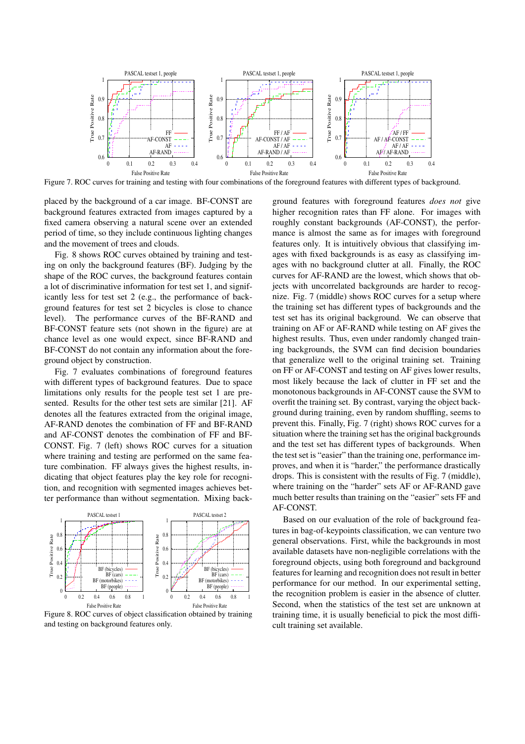

Figure 7. ROC curves for training and testing with four combinations of the foreground features with different types of background.

placed by the background of a car image. BF-CONST are background features extracted from images captured by a fixed camera observing a natural scene over an extended period of time, so they include continuous lighting changes and the movement of trees and clouds.

Fig. 8 shows ROC curves obtained by training and testing on only the background features (BF). Judging by the shape of the ROC curves, the background features contain a lot of discriminative information for test set 1, and significantly less for test set 2 (e.g., the performance of background features for test set 2 bicycles is close to chance level). The performance curves of the BF-RAND and BF-CONST feature sets (not shown in the figure) are at chance level as one would expect, since BF-RAND and BF-CONST do not contain any information about the foreground object by construction.

Fig. 7 evaluates combinations of foreground features with different types of background features. Due to space limitations only results for the people test set 1 are presented. Results for the other test sets are similar [21]. AF denotes all the features extracted from the original image, AF-RAND denotes the combination of FF and BF-RAND and AF-CONST denotes the combination of FF and BF-CONST. Fig. 7 (left) shows ROC curves for a situation where training and testing are performed on the same feature combination. FF always gives the highest results, indicating that object features play the key role for recognition, and recognition with segmented images achieves better performance than without segmentation. Mixing back-



Figure 8. ROC curves of object classification obtained by training and testing on background features only.

ground features with foreground features *does not* give higher recognition rates than FF alone. For images with roughly constant backgrounds (AF-CONST), the performance is almost the same as for images with foreground features only. It is intuitively obvious that classifying images with fixed backgrounds is as easy as classifying images with no background clutter at all. Finally, the ROC curves for AF-RAND are the lowest, which shows that objects with uncorrelated backgrounds are harder to recognize. Fig. 7 (middle) shows ROC curves for a setup where the training set has different types of backgrounds and the test set has its original background. We can observe that training on AF or AF-RAND while testing on AF gives the highest results. Thus, even under randomly changed training backgrounds, the SVM can find decision boundaries that generalize well to the original training set. Training on FF or AF-CONST and testing on AF gives lower results, most likely because the lack of clutter in FF set and the monotonous backgrounds in AF-CONST cause the SVM to overfit the training set. By contrast, varying the object background during training, even by random shuffling, seems to prevent this. Finally, Fig. 7 (right) shows ROC curves for a situation where the training set has the original backgrounds and the test set has different types of backgrounds. When the test set is "easier" than the training one, performance improves, and when it is "harder," the performance drastically drops. This is consistent with the results of Fig. 7 (middle), where training on the "harder" sets AF or AF-RAND gave much better results than training on the "easier" sets FF and AF-CONST.

Based on our evaluation of the role of background features in bag-of-keypoints classification, we can venture two general observations. First, while the backgrounds in most available datasets have non-negligible correlations with the foreground objects, using both foreground and background features for learning and recognition does not result in better performance for our method. In our experimental setting, the recognition problem is easier in the absence of clutter. Second, when the statistics of the test set are unknown at training time, it is usually beneficial to pick the most difficult training set available.